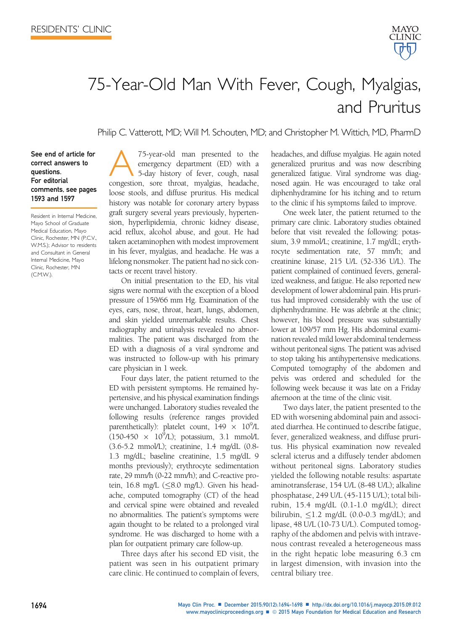

# 75-Year-Old Man With Fever, Cough, Myalgias, and Pruritus

Philip C. Vatterott, MD; Will M. Schouten, MD; and Christopher M. Wittich, MD, PharmD

## See end of article for correct answers to questions. For editorial comments, see pages 1593 and 1597

Resident in Internal Medicine, Mayo School of Graduate Medical Education, Mayo Clinic, Rochester, MN (P.C.V., W.M.S.); Advisor to residents and Consultant in General Internal Medicine, Mayo Clinic, Rochester, MN (C.M.W.).

A75-year-old man presented to the emergency department (ED) with a 5-day history of fever, cough, nasal congestion, sore throat, myalgias, headache, loose stools, and diffuse pruritus. His medical history was notable for coronary artery bypass graft surgery several years previously, hypertension, hyperlipidemia, chronic kidney disease, acid reflux, alcohol abuse, and gout. He had taken acetaminophen with modest improvement in his fever, myalgias, and headache. He was a lifelong nonsmoker. The patient had no sick contacts or recent travel history.

On initial presentation to the ED, his vital signs were normal with the exception of a blood pressure of 159/66 mm Hg. Examination of the eyes, ears, nose, throat, heart, lungs, abdomen, and skin yielded unremarkable results. Chest radiography and urinalysis revealed no abnormalities. The patient was discharged from the ED with a diagnosis of a viral syndrome and was instructed to follow-up with his primary care physician in 1 week.

Four days later, the patient returned to the ED with persistent symptoms. He remained hypertensive, and his physical examination findings were unchanged. Laboratory studies revealed the following results (reference ranges provided parenthetically): platelet count,  $149 \times 10^9$ /L  $(150-450 \times 10^9/\text{L})$ ; potassium, 3.1 mmol/L (3.6-5.2 mmol/L); creatinine, 1.4 mg/dL (0.8- 1.3 mg/dL; baseline creatinine, 1.5 mg/dL 9 months previously); erythrocyte sedimentation rate, 29 mm/h (0-22 mm/h); and C-reactive protein,  $16.8 \text{ mg/L}$  (<8.0 mg/L). Given his headache, computed tomography (CT) of the head and cervical spine were obtained and revealed no abnormalities. The patient's symptoms were again thought to be related to a prolonged viral syndrome. He was discharged to home with a plan for outpatient primary care follow-up.

Three days after his second ED visit, the patient was seen in his outpatient primary care clinic. He continued to complain of fevers, headaches, and diffuse myalgias. He again noted generalized pruritus and was now describing generalized fatigue. Viral syndrome was diagnosed again. He was encouraged to take oral diphenhydramine for his itching and to return to the clinic if his symptoms failed to improve.

One week later, the patient returned to the primary care clinic. Laboratory studies obtained before that visit revealed the following: potassium, 3.9 mmol/L; creatinine, 1.7 mg/dL; erythrocyte sedimentation rate, 57 mm/h; and creatinine kinase, 215 U/L (52-336 U/L). The patient complained of continued fevers, generalized weakness, and fatigue. He also reported new development of lower abdominal pain. His pruritus had improved considerably with the use of diphenhydramine. He was afebrile at the clinic; however, his blood pressure was substantially lower at 109/57 mm Hg. His abdominal examination revealed mild lower abdominal tenderness without peritoneal signs. The patient was advised to stop taking his antihypertensive medications. Computed tomography of the abdomen and pelvis was ordered and scheduled for the following week because it was late on a Friday afternoon at the time of the clinic visit.

Two days later, the patient presented to the ED with worsening abdominal pain and associated diarrhea. He continued to describe fatigue, fever, generalized weakness, and diffuse pruritus. His physical examination now revealed scleral icterus and a diffusely tender abdomen without peritoneal signs. Laboratory studies yielded the following notable results: aspartate aminotransferase, 154 U/L (8-48 U/L); alkaline phosphatase, 249 U/L (45-115 U/L); total bilirubin, 15.4 mg/dL (0.1-1.0 mg/dL); direct bilirubin,  $\langle 1.2 \text{ mg/dL} (0.0\text{-}0.3 \text{ mg/dL})$ ; and lipase, 48 U/L (10-73 U/L). Computed tomography of the abdomen and pelvis with intravenous contrast revealed a heterogeneous mass in the right hepatic lobe measuring 6.3 cm in largest dimension, with invasion into the central biliary tree.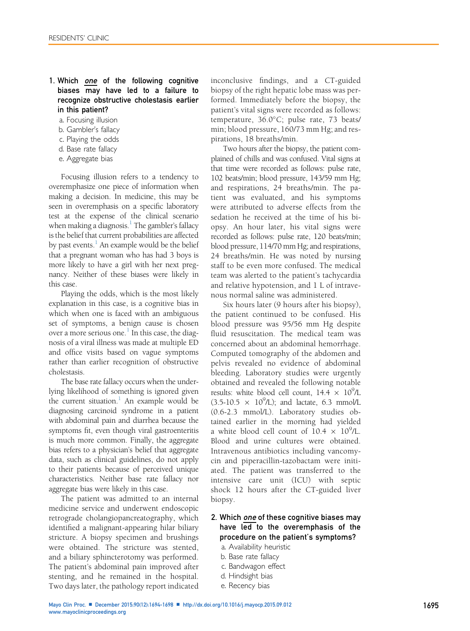- 1. Which one of the following cognitive biases may have led to a failure to recognize obstructive cholestasis earlier in this patient?
	- a. Focusing illusion
	- b. Gambler's fallacy
	- c. Playing the odds
	- d. Base rate fallacy
	- e. Aggregate bias

Focusing illusion refers to a tendency to overemphasize one piece of information when making a decision. In medicine, this may be seen in overemphasis on a specific laboratory test at the expense of the clinical scenario when making a diagnosis. $\frac{1}{1}$  The gambler's fallacy is the belief that current probabilities are affected by past events. $<sup>1</sup>$  An example would be the belief</sup> that a pregnant woman who has had 3 boys is more likely to have a girl with her next pregnancy. Neither of these biases were likely in this case.

Playing the odds, which is the most likely explanation in this case, is a cognitive bias in which when one is faced with an ambiguous set of symptoms, a benign cause is chosen over a more serious one. $<sup>1</sup>$  $<sup>1</sup>$  $<sup>1</sup>$  In this case, the diag-</sup> nosis of a viral illness was made at multiple ED and office visits based on vague symptoms rather than earlier recognition of obstructive cholestasis.

The base rate fallacy occurs when the underlying likelihood of something is ignored given the current situation.<sup>[1](#page-4-0)</sup> An example would be diagnosing carcinoid syndrome in a patient with abdominal pain and diarrhea because the symptoms fit, even though viral gastroenteritis is much more common. Finally, the aggregate bias refers to a physician's belief that aggregate data, such as clinical guidelines, do not apply to their patients because of perceived unique characteristics. Neither base rate fallacy nor aggregate bias were likely in this case.

The patient was admitted to an internal medicine service and underwent endoscopic retrograde cholangiopancreatography, which identified a malignant-appearing hilar biliary stricture. A biopsy specimen and brushings were obtained. The stricture was stented, and a biliary sphincterotomy was performed. The patient's abdominal pain improved after stenting, and he remained in the hospital. Two days later, the pathology report indicated

inconclusive findings, and a CT-guided biopsy of the right hepatic lobe mass was performed. Immediately before the biopsy, the patient's vital signs were recorded as follows: temperature, 36.0°C; pulse rate, 73 beats/ min; blood pressure, 160/73 mm Hg; and respirations, 18 breaths/min.

Two hours after the biopsy, the patient complained of chills and was confused. Vital signs at that time were recorded as follows: pulse rate, 102 beats/min; blood pressure, 143/59 mm Hg; and respirations, 24 breaths/min. The patient was evaluated, and his symptoms were attributed to adverse effects from the sedation he received at the time of his biopsy. An hour later, his vital signs were recorded as follows: pulse rate, 120 beats/min; blood pressure, 114/70 mm Hg; and respirations, 24 breaths/min. He was noted by nursing staff to be even more confused. The medical team was alerted to the patient's tachycardia and relative hypotension, and 1 L of intravenous normal saline was administered.

Six hours later (9 hours after his biopsy), the patient continued to be confused. His blood pressure was 95/56 mm Hg despite fluid resuscitation. The medical team was concerned about an abdominal hemorrhage. Computed tomography of the abdomen and pelvis revealed no evidence of abdominal bleeding. Laboratory studies were urgently obtained and revealed the following notable results: white blood cell count,  $14.4 \times 10^9/\text{L}$  $(3.5{\text -}10.5 \times 10^{9} \text{L})$ ; and lactate, 6.3 mmol/L (0.6-2.3 mmol/L). Laboratory studies obtained earlier in the morning had yielded a white blood cell count of  $10.4 \times 10^9$ /L. Blood and urine cultures were obtained. Intravenous antibiotics including vancomycin and piperacillin-tazobactam were initiated. The patient was transferred to the intensive care unit (ICU) with septic shock 12 hours after the CT-guided liver biopsy.

# 2. Which one of these cognitive biases may have led to the overemphasis of the procedure on the patient's symptoms?

- a. Availability heuristic
- b. Base rate fallacy
- c. Bandwagon effect
- d. Hindsight bias
- e. Recency bias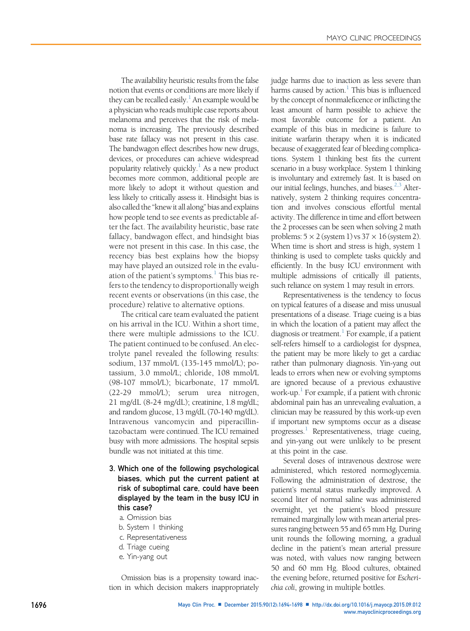The availability heuristic results from the false notion that events or conditions are more likely if they can be recalled easily.<sup>[1](#page-4-0)</sup> An example would be a physician who reads multiple case reports about melanoma and perceives that the risk of melanoma is increasing. The previously described base rate fallacy was not present in this case. The bandwagon effect describes how new drugs, devices, or procedures can achieve widespread popularity relatively quickly. $<sup>1</sup>$  $<sup>1</sup>$  $<sup>1</sup>$  As a new product</sup> becomes more common, additional people are more likely to adopt it without question and less likely to critically assess it. Hindsight bias is also called the "knew it all along" bias and explains how people tend to see events as predictable after the fact. The availability heuristic, base rate fallacy, bandwagon effect, and hindsight bias were not present in this case. In this case, the recency bias best explains how the biopsy may have played an outsized role in the evaluation of the patient's symptoms. $\frac{1}{1}$  $\frac{1}{1}$  $\frac{1}{1}$  This bias refers to the tendency to disproportionally weigh recent events or observations (in this case, the procedure) relative to alternative options.

The critical care team evaluated the patient on his arrival in the ICU. Within a short time, there were multiple admissions to the ICU. The patient continued to be confused. An electrolyte panel revealed the following results: sodium, 137 mmol/L (135-145 mmol/L); potassium, 3.0 mmol/L; chloride, 108 mmol/L (98-107 mmol/L); bicarbonate, 17 mmol/L (22-29 mmol/L); serum urea nitrogen, 21 mg/dL (8-24 mg/dL); creatinine, 1.8 mg/dL; and random glucose, 13 mg/dL (70-140 mg/dL). Intravenous vancomycin and piperacillintazobactam were continued. The ICU remained busy with more admissions. The hospital sepsis bundle was not initiated at this time.

- 3. Which one of the following psychological biases, which put the current patient at risk of suboptimal care, could have been displayed by the team in the busy ICU in this case?
	- a. Omission bias
	- b. System 1 thinking
	- c. Representativeness
	- d. Triage cueing
	- e. Yin-yang out

Omission bias is a propensity toward inaction in which decision makers inappropriately judge harms due to inaction as less severe than harms caused by action. $1$  This bias is influenced by the concept of nonmaleficence or inflicting the least amount of harm possible to achieve the most favorable outcome for a patient. An example of this bias in medicine is failure to initiate warfarin therapy when it is indicated because of exaggerated fear of bleeding complications. System 1 thinking best fits the current scenario in a busy workplace. System 1 thinking is involuntary and extremely fast. It is based on our initial feelings, hunches, and biases. $2,3$  Alternatively, system 2 thinking requires concentration and involves conscious effortful mental activity. The difference in time and effort between the 2 processes can be seen when solving 2 math problems:  $5 \times 2$  (system 1) vs  $37 \times 16$  (system 2). When time is short and stress is high, system 1 thinking is used to complete tasks quickly and efficiently. In the busy ICU environment with multiple admissions of critically ill patients, such reliance on system 1 may result in errors.

Representativeness is the tendency to focus on typical features of a disease and miss unusual presentations of a disease. Triage cueing is a bias in which the location of a patient may affect the diagnosis or treatment. $<sup>1</sup>$  $<sup>1</sup>$  $<sup>1</sup>$  For example, if a patient</sup> self-refers himself to a cardiologist for dyspnea, the patient may be more likely to get a cardiac rather than pulmonary diagnosis. Yin-yang out leads to errors when new or evolving symptoms are ignored because of a previous exhaustive work-up. $^1$  For example, if a patient with chronic abdominal pain has an unrevealing evaluation, a clinician may be reassured by this work-up even if important new symptoms occur as a disease progresses.<sup>1</sup> Representativeness, triage cueing, and yin-yang out were unlikely to be present at this point in the case.

Several doses of intravenous dextrose were administered, which restored normoglycemia. Following the administration of dextrose, the patient's mental status markedly improved. A second liter of normal saline was administered overnight, yet the patient's blood pressure remained marginally low with mean arterial pressures ranging between 55 and 65 mm Hg. During unit rounds the following morning, a gradual decline in the patient's mean arterial pressure was noted, with values now ranging between 50 and 60 mm Hg. Blood cultures, obtained the evening before, returned positive for Escherichia coli, growing in multiple bottles.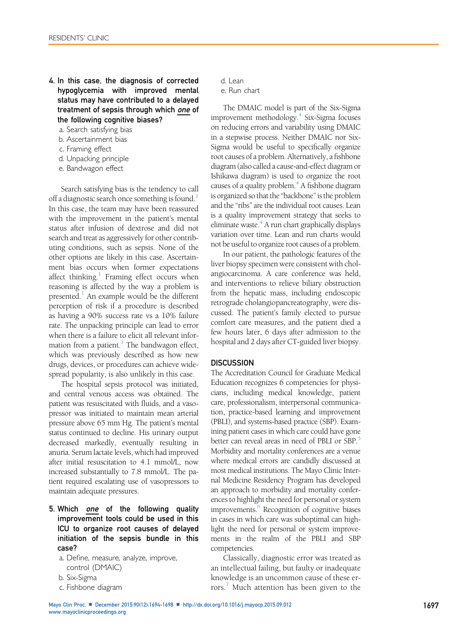- 4. In this case, the diagnosis of corrected hypoglycemia with improved mental status may have contributed to a delayed treatment of sepsis through which one of the following cognitive biases?
	- a. Search satisfying bias
	- b. Ascertainment bias
	- c. Framing effect
	- d. Unpacking principle
	- e. Bandwagon effect

Search satisfying bias is the tendency to call off a diagnostic search once something is found.<sup>[1](#page-4-0)</sup> In this case, the team may have been reassured with the improvement in the patient's mental status after infusion of dextrose and did not search and treat as aggressively for other contributing conditions, such as sepsis. None of the other options are likely in this case. Ascertainment bias occurs when former expectations affect thinking. $1$  Framing effect occurs when reasoning is affected by the way a problem is presented. $\frac{1}{1}$  $\frac{1}{1}$  $\frac{1}{1}$  An example would be the different perception of risk if a procedure is described as having a 90% success rate vs a 10% failure rate. The unpacking principle can lead to error when there is a failure to elicit all relevant information from a patient. $<sup>1</sup>$  The bandwagon effect,</sup> which was previously described as how new drugs, devices, or procedures can achieve widespread popularity, is also unlikely in this case.

The hospital sepsis protocol was initiated, and central venous access was obtained. The patient was resuscitated with fluids, and a vasopressor was initiated to maintain mean arterial pressure above 65 mm Hg. The patient's mental status continued to decline. His urinary output decreased markedly, eventually resulting in anuria. Serum lactate levels, which had improved after initial resuscitation to 4.1 mmol/L, now increased substantially to 7.8 mmol/L. The patient required escalating use of vasopressors to maintain adequate pressures.

- 5. Which one of the following quality improvement tools could be used in this ICU to organize root causes of delayed initiation of the sepsis bundle in this case?
	- a. Define, measure, analyze, improve, control (DMAIC)
	- b. Six-Sigma
	- c. Fishbone diagram
- d. Lean
- e. Run chart

The DMAIC model is part of the Six-Sigma improvement methodology.<sup>4</sup> Six-Sigma focuses on reducing errors and variability using DMAIC in a stepwise process. Neither DMAIC nor Six-Sigma would be useful to specifically organize root causes of a problem. Alternatively, a fishbone diagram (also called a cause-and-effect diagram or Ishikawa diagram) is used to organize the root causes of a quality problem. $4$  A fishbone diagram is organized so that the "backbone"is the problem and the "ribs" are the individual root causes. Lean is a quality improvement strategy that seeks to eliminate waste. $4$  A run chart graphically displays variation over time. Lean and run charts would not be useful to organize root causes of a problem.

In our patient, the pathologic features of the liver biopsy specimen were consistent with cholangiocarcinoma. A care conference was held, and interventions to relieve biliary obstruction from the hepatic mass, including endoscopic retrograde cholangiopancreatography, were discussed. The patient's family elected to pursue comfort care measures, and the patient died a few hours later, 6 days after admission to the hospital and 2 days after CT-guided liver biopsy.

### **DISCUSSION**

The Accreditation Council for Graduate Medical Education recognizes 6 competencies for physicians, including medical knowledge, patient care, professionalism, interpersonal communication, practice-based learning and improvement (PBLI), and systems-based practice (SBP). Examining patient cases in which care could have gone better can reveal areas in need of PBLI or SBP.<sup>[5](#page-4-0)</sup> Morbidity and mortality conferences are a venue where medical errors are candidly discussed at most medical institutions. The Mayo Clinic Internal Medicine Residency Program has developed an approach to morbidity and mortality conferences to highlight the need for personal or system improvements.<sup>6</sup> Recognition of cognitive biases in cases in which care was suboptimal can highlight the need for personal or system improvements in the realm of the PBLI and SBP competencies.

Classically, diagnostic error was treated as an intellectual failing, but faulty or inadequate knowledge is an uncommon cause of these er-rors.<sup>[7](#page-4-0)</sup> Much attention has been given to the